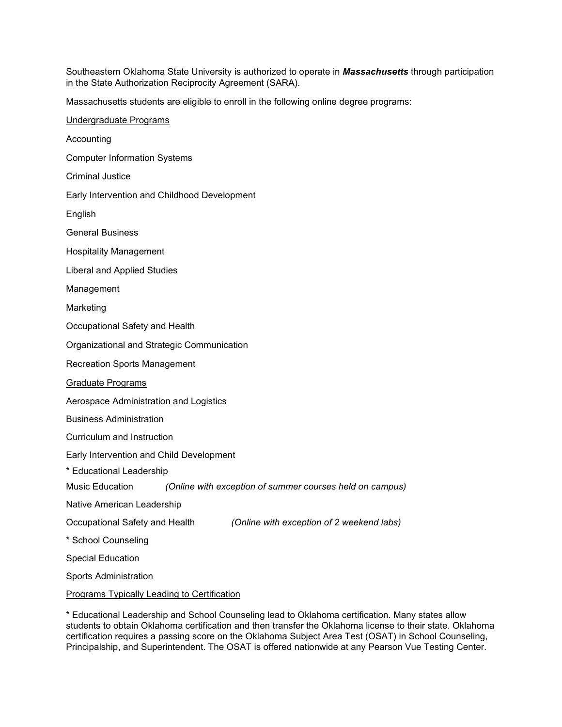Southeastern Oklahoma State University is authorized to operate in *Massachusetts* through participation in the State Authorization Reciprocity Agreement (SARA).

Massachusetts students are eligible to enroll in the following online degree programs:

\* Educational Leadership and School Counseling lead to Oklahoma certification. Many states allow students to obtain Oklahoma certification and then transfer the Oklahoma license to their state. Oklahoma certification requires a passing score on the Oklahoma Subject Area Test (OSAT) in School Counseling, Principalship, and Superintendent. The OSAT is offered nationwide at any Pearson Vue Testing Center.